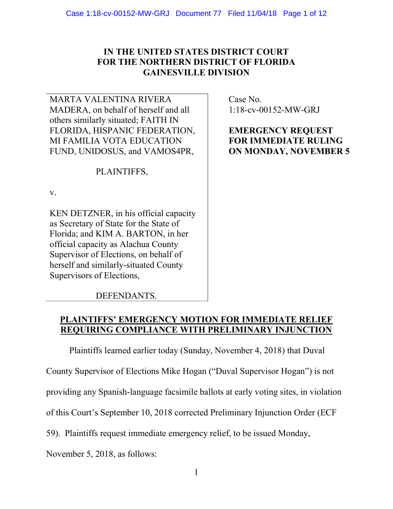# IN THE UNITED STATES DISTRICT COURT FOR THE NORTHERN DISTRICT OF FLORIDA GAINESVILLE DIVISION

MARTA VALENTINA RIVERA MADERA, on behalf of herself and all others similarly situated; FAITH IN FLORIDA, HISPANIC FEDERATION, MI FAMILIA VOTA EDUCATION FUND, UNIDOSUS, and VAMOS4PR,

PLAINTIFFS,

v.

KEN DETZNER, in his official capacity as Secretary of State for the State of Florida; and KIM A. BARTON, in her official capacity as Alachua County Supervisor of Elections, on behalf of herself and similarly-situated County Supervisors of Elections,

 Case No. 1:18-cv-00152-MW-GRJ

EMERGENCY REQUEST FOR IMMEDIATE RULING ON MONDAY, NOVEMBER 5

DEFENDANTS.

# PLAINTIFFS' EMERGENCY MOTION FOR IMMEDIATE RELIEF REQUIRING COMPLIANCE WITH PRELIMINARY INJUNCTION

Plaintiffs learned earlier today (Sunday, November 4, 2018) that Duval

County Supervisor of Elections Mike Hogan ("Duval Supervisor Hogan") is not

providing any Spanish-language facsimile ballots at early voting sites, in violation

of this Court's September 10, 2018 corrected Preliminary Injunction Order (ECF

59). Plaintiffs request immediate emergency relief, to be issued Monday,

November 5, 2018, as follows: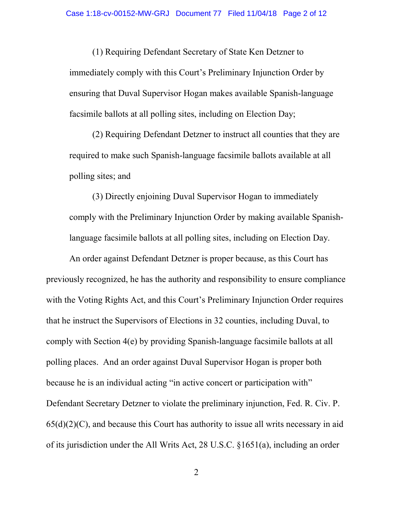(1) Requiring Defendant Secretary of State Ken Detzner to immediately comply with this Court's Preliminary Injunction Order by ensuring that Duval Supervisor Hogan makes available Spanish-language facsimile ballots at all polling sites, including on Election Day;

(2) Requiring Defendant Detzner to instruct all counties that they are required to make such Spanish-language facsimile ballots available at all polling sites; and

(3) Directly enjoining Duval Supervisor Hogan to immediately comply with the Preliminary Injunction Order by making available Spanishlanguage facsimile ballots at all polling sites, including on Election Day.

An order against Defendant Detzner is proper because, as this Court has previously recognized, he has the authority and responsibility to ensure compliance with the Voting Rights Act, and this Court's Preliminary Injunction Order requires that he instruct the Supervisors of Elections in 32 counties, including Duval, to comply with Section 4(e) by providing Spanish-language facsimile ballots at all polling places. And an order against Duval Supervisor Hogan is proper both because he is an individual acting "in active concert or participation with" Defendant Secretary Detzner to violate the preliminary injunction, Fed. R. Civ. P.  $65(d)(2)(C)$ , and because this Court has authority to issue all writs necessary in aid of its jurisdiction under the All Writs Act, 28 U.S.C. §1651(a), including an order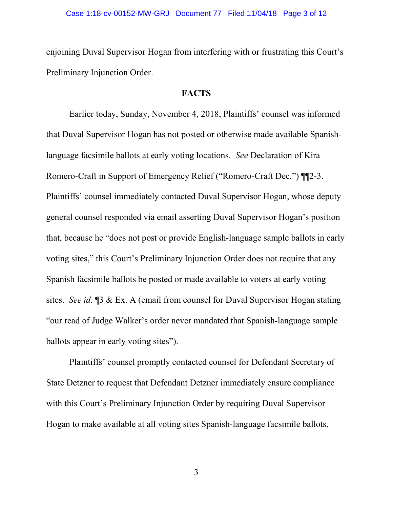enjoining Duval Supervisor Hogan from interfering with or frustrating this Court's Preliminary Injunction Order.

## **FACTS**

Earlier today, Sunday, November 4, 2018, Plaintiffs' counsel was informed that Duval Supervisor Hogan has not posted or otherwise made available Spanishlanguage facsimile ballots at early voting locations. See Declaration of Kira Romero-Craft in Support of Emergency Relief ("Romero-Craft Dec.") ¶¶2-3. Plaintiffs' counsel immediately contacted Duval Supervisor Hogan, whose deputy general counsel responded via email asserting Duval Supervisor Hogan's position that, because he "does not post or provide English-language sample ballots in early voting sites," this Court's Preliminary Injunction Order does not require that any Spanish facsimile ballots be posted or made available to voters at early voting sites. See id. [3 & Ex. A (email from counsel for Duval Supervisor Hogan stating "our read of Judge Walker's order never mandated that Spanish-language sample ballots appear in early voting sites").

Plaintiffs' counsel promptly contacted counsel for Defendant Secretary of State Detzner to request that Defendant Detzner immediately ensure compliance with this Court's Preliminary Injunction Order by requiring Duval Supervisor Hogan to make available at all voting sites Spanish-language facsimile ballots,

3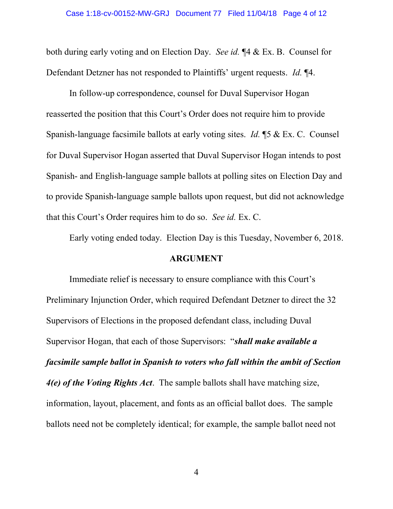both during early voting and on Election Day. See id. ¶4 & Ex. B. Counsel for Defendant Detzner has not responded to Plaintiffs' urgent requests. *Id.* ¶4.

In follow-up correspondence, counsel for Duval Supervisor Hogan reasserted the position that this Court's Order does not require him to provide Spanish-language facsimile ballots at early voting sites. Id. ¶5 & Ex. C. Counsel for Duval Supervisor Hogan asserted that Duval Supervisor Hogan intends to post Spanish- and English-language sample ballots at polling sites on Election Day and to provide Spanish-language sample ballots upon request, but did not acknowledge that this Court's Order requires him to do so. See id. Ex. C.

Early voting ended today. Election Day is this Tuesday, November 6, 2018.

### ARGUMENT

Immediate relief is necessary to ensure compliance with this Court's Preliminary Injunction Order, which required Defendant Detzner to direct the 32 Supervisors of Elections in the proposed defendant class, including Duval Supervisor Hogan, that each of those Supervisors: "shall make available a facsimile sample ballot in Spanish to voters who fall within the ambit of Section 4(e) of the Voting Rights Act. The sample ballots shall have matching size, information, layout, placement, and fonts as an official ballot does. The sample ballots need not be completely identical; for example, the sample ballot need not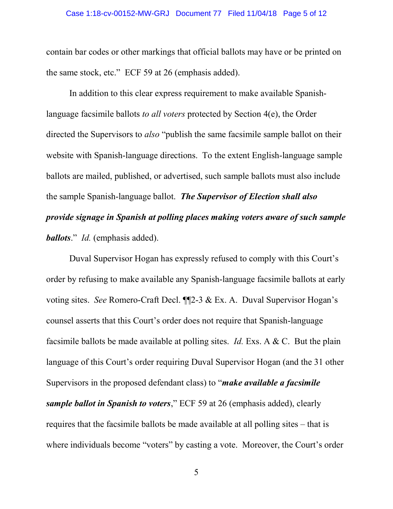#### Case 1:18-cv-00152-MW-GRJ Document 77 Filed 11/04/18 Page 5 of 12

contain bar codes or other markings that official ballots may have or be printed on the same stock, etc." ECF 59 at 26 (emphasis added).

In addition to this clear express requirement to make available Spanishlanguage facsimile ballots to all voters protected by Section 4(e), the Order directed the Supervisors to also "publish the same facsimile sample ballot on their website with Spanish-language directions. To the extent English-language sample ballots are mailed, published, or advertised, such sample ballots must also include the sample Spanish-language ballot. The Supervisor of Election shall also provide signage in Spanish at polling places making voters aware of such sample ballots." Id. (emphasis added).

 Duval Supervisor Hogan has expressly refused to comply with this Court's order by refusing to make available any Spanish-language facsimile ballots at early voting sites. See Romero-Craft Decl. ¶¶2-3 & Ex. A. Duval Supervisor Hogan's counsel asserts that this Court's order does not require that Spanish-language facsimile ballots be made available at polling sites. *Id.* Exs. A  $\& C$ . But the plain language of this Court's order requiring Duval Supervisor Hogan (and the 31 other Supervisors in the proposed defendant class) to "*make available a facsimile* sample ballot in Spanish to voters," ECF 59 at 26 (emphasis added), clearly requires that the facsimile ballots be made available at all polling sites – that is where individuals become "voters" by casting a vote. Moreover, the Court's order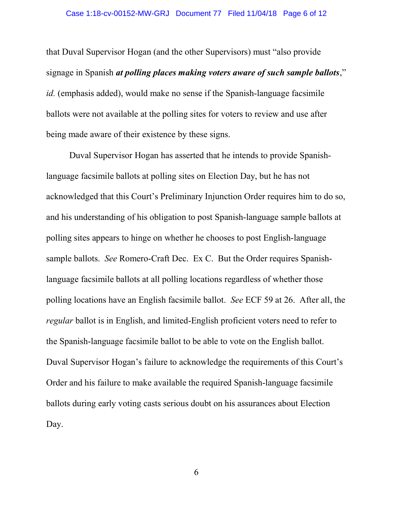#### Case 1:18-cv-00152-MW-GRJ Document 77 Filed 11/04/18 Page 6 of 12

that Duval Supervisor Hogan (and the other Supervisors) must "also provide signage in Spanish at polling places making voters aware of such sample ballots," id. (emphasis added), would make no sense if the Spanish-language facsimile ballots were not available at the polling sites for voters to review and use after being made aware of their existence by these signs.

Duval Supervisor Hogan has asserted that he intends to provide Spanishlanguage facsimile ballots at polling sites on Election Day, but he has not acknowledged that this Court's Preliminary Injunction Order requires him to do so, and his understanding of his obligation to post Spanish-language sample ballots at polling sites appears to hinge on whether he chooses to post English-language sample ballots. See Romero-Craft Dec. Ex C. But the Order requires Spanishlanguage facsimile ballots at all polling locations regardless of whether those polling locations have an English facsimile ballot. See ECF 59 at 26. After all, the regular ballot is in English, and limited-English proficient voters need to refer to the Spanish-language facsimile ballot to be able to vote on the English ballot. Duval Supervisor Hogan's failure to acknowledge the requirements of this Court's Order and his failure to make available the required Spanish-language facsimile ballots during early voting casts serious doubt on his assurances about Election Day.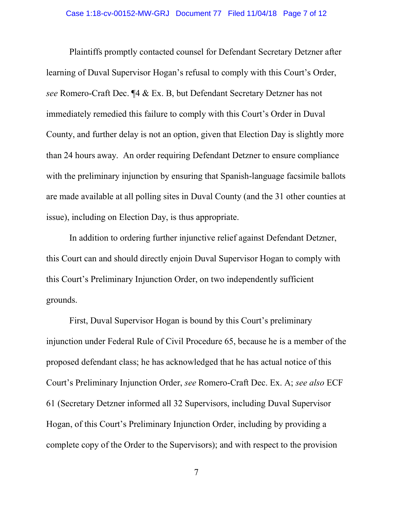Plaintiffs promptly contacted counsel for Defendant Secretary Detzner after learning of Duval Supervisor Hogan's refusal to comply with this Court's Order, see Romero-Craft Dec. ¶4 & Ex. B, but Defendant Secretary Detzner has not immediately remedied this failure to comply with this Court's Order in Duval County, and further delay is not an option, given that Election Day is slightly more than 24 hours away. An order requiring Defendant Detzner to ensure compliance with the preliminary injunction by ensuring that Spanish-language facsimile ballots are made available at all polling sites in Duval County (and the 31 other counties at issue), including on Election Day, is thus appropriate.

 In addition to ordering further injunctive relief against Defendant Detzner, this Court can and should directly enjoin Duval Supervisor Hogan to comply with this Court's Preliminary Injunction Order, on two independently sufficient grounds.

First, Duval Supervisor Hogan is bound by this Court's preliminary injunction under Federal Rule of Civil Procedure 65, because he is a member of the proposed defendant class; he has acknowledged that he has actual notice of this Court's Preliminary Injunction Order, see Romero-Craft Dec. Ex. A; see also ECF 61 (Secretary Detzner informed all 32 Supervisors, including Duval Supervisor Hogan, of this Court's Preliminary Injunction Order, including by providing a complete copy of the Order to the Supervisors); and with respect to the provision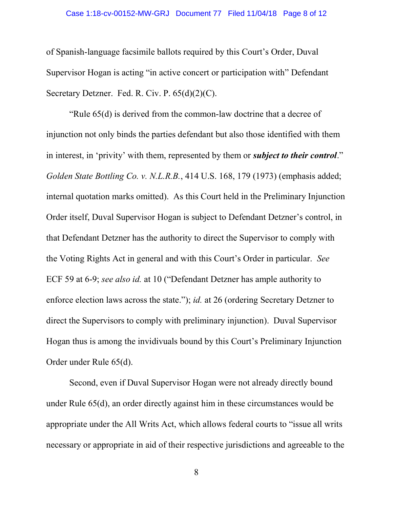#### Case 1:18-cv-00152-MW-GRJ Document 77 Filed 11/04/18 Page 8 of 12

of Spanish-language facsimile ballots required by this Court's Order, Duval Supervisor Hogan is acting "in active concert or participation with" Defendant Secretary Detzner. Fed. R. Civ. P. 65(d)(2)(C).

"Rule 65(d) is derived from the common-law doctrine that a decree of injunction not only binds the parties defendant but also those identified with them in interest, in 'privity' with them, represented by them or *subject to their control*." Golden State Bottling Co. v. N.L.R.B., 414 U.S. 168, 179 (1973) (emphasis added; internal quotation marks omitted). As this Court held in the Preliminary Injunction Order itself, Duval Supervisor Hogan is subject to Defendant Detzner's control, in that Defendant Detzner has the authority to direct the Supervisor to comply with the Voting Rights Act in general and with this Court's Order in particular. See ECF 59 at 6-9; see also id. at 10 ("Defendant Detzner has ample authority to enforce election laws across the state."); id. at 26 (ordering Secretary Detzner to direct the Supervisors to comply with preliminary injunction). Duval Supervisor Hogan thus is among the invidivuals bound by this Court's Preliminary Injunction Order under Rule 65(d).

 Second, even if Duval Supervisor Hogan were not already directly bound under Rule 65(d), an order directly against him in these circumstances would be appropriate under the All Writs Act, which allows federal courts to "issue all writs necessary or appropriate in aid of their respective jurisdictions and agreeable to the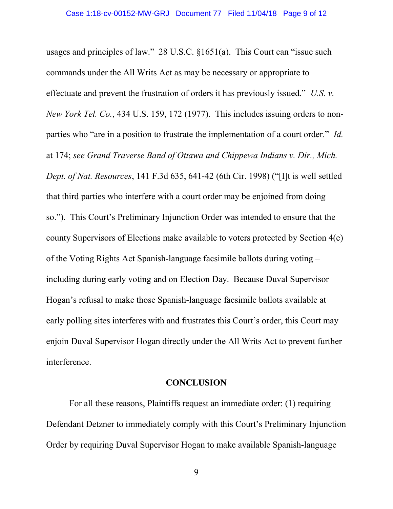usages and principles of law." 28 U.S.C. §1651(a). This Court can "issue such commands under the All Writs Act as may be necessary or appropriate to effectuate and prevent the frustration of orders it has previously issued." U.S. v. New York Tel. Co., 434 U.S. 159, 172 (1977). This includes issuing orders to nonparties who "are in a position to frustrate the implementation of a court order." Id. at 174; see Grand Traverse Band of Ottawa and Chippewa Indians v. Dir., Mich. Dept. of Nat. Resources, 141 F.3d 635, 641-42 (6th Cir. 1998) ("[I]t is well settled that third parties who interfere with a court order may be enjoined from doing so."). This Court's Preliminary Injunction Order was intended to ensure that the county Supervisors of Elections make available to voters protected by Section 4(e) of the Voting Rights Act Spanish-language facsimile ballots during voting – including during early voting and on Election Day. Because Duval Supervisor Hogan's refusal to make those Spanish-language facsimile ballots available at early polling sites interferes with and frustrates this Court's order, this Court may enjoin Duval Supervisor Hogan directly under the All Writs Act to prevent further interference.

### **CONCLUSION**

 For all these reasons, Plaintiffs request an immediate order: (1) requiring Defendant Detzner to immediately comply with this Court's Preliminary Injunction Order by requiring Duval Supervisor Hogan to make available Spanish-language

9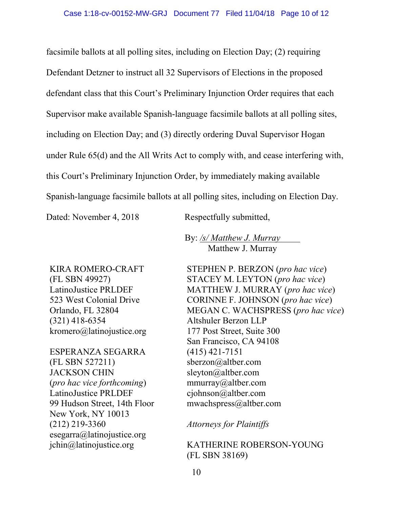facsimile ballots at all polling sites, including on Election Day; (2) requiring Defendant Detzner to instruct all 32 Supervisors of Elections in the proposed defendant class that this Court's Preliminary Injunction Order requires that each Supervisor make available Spanish-language facsimile ballots at all polling sites, including on Election Day; and (3) directly ordering Duval Supervisor Hogan under Rule 65(d) and the All Writs Act to comply with, and cease interfering with, this Court's Preliminary Injunction Order, by immediately making available Spanish-language facsimile ballots at all polling sites, including on Election Day.

Dated: November 4, 2018 Respectfully submitted,

 By: /s/ Matthew J. Murray Matthew J. Murray

KIRA ROMERO-CRAFT (FL SBN 49927) LatinoJustice PRLDEF 523 West Colonial Drive Orlando, FL 32804 (321) 418-6354 kromero@latinojustice.org

ESPERANZA SEGARRA (FL SBN 527211) JACKSON CHIN (pro hac vice forthcoming) LatinoJustice PRLDEF 99 Hudson Street, 14th Floor New York, NY 10013 (212) 219-3360 esegarra@latinojustice.org jchin@latinojustice.org

STEPHEN P. BERZON (pro hac vice) STACEY M. LEYTON (pro hac vice) MATTHEW J. MURRAY (pro hac vice) CORINNE F. JOHNSON (pro hac vice) MEGAN C. WACHSPRESS (pro hac vice) Altshuler Berzon LLP 177 Post Street, Suite 300 San Francisco, CA 94108 (415) 421-7151 sberzon@altber.com sleyton@altber.com mmurray@altber.com cjohnson@altber.com mwachspress@altber.com

Attorneys for Plaintiffs

KATHERINE ROBERSON-YOUNG (FL SBN 38169)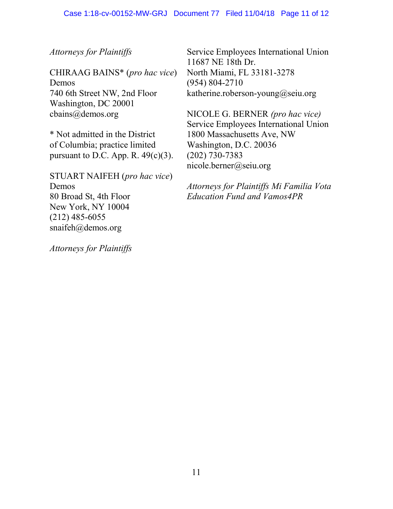Attorneys for Plaintiffs

CHIRAAG BAINS\* (pro hac vice) Demos 740 6th Street NW, 2nd Floor Washington, DC 20001 cbains@demos.org

\* Not admitted in the District of Columbia; practice limited pursuant to D.C. App. R.  $49(c)(3)$ .

STUART NAIFEH (pro hac vice) Demos 80 Broad St, 4th Floor New York, NY 10004 (212) 485-6055 snaifeh@demos.org

Attorneys for Plaintiffs

Service Employees International Union 11687 NE 18th Dr. North Miami, FL 33181-3278 (954) 804-2710 katherine.roberson-young@seiu.org

NICOLE G. BERNER (pro hac vice) Service Employees International Union 1800 Massachusetts Ave, NW Washington, D.C. 20036 (202) 730-7383 nicole.berner@seiu.org

Attorneys for Plaintiffs Mi Familia Vota Education Fund and Vamos4PR